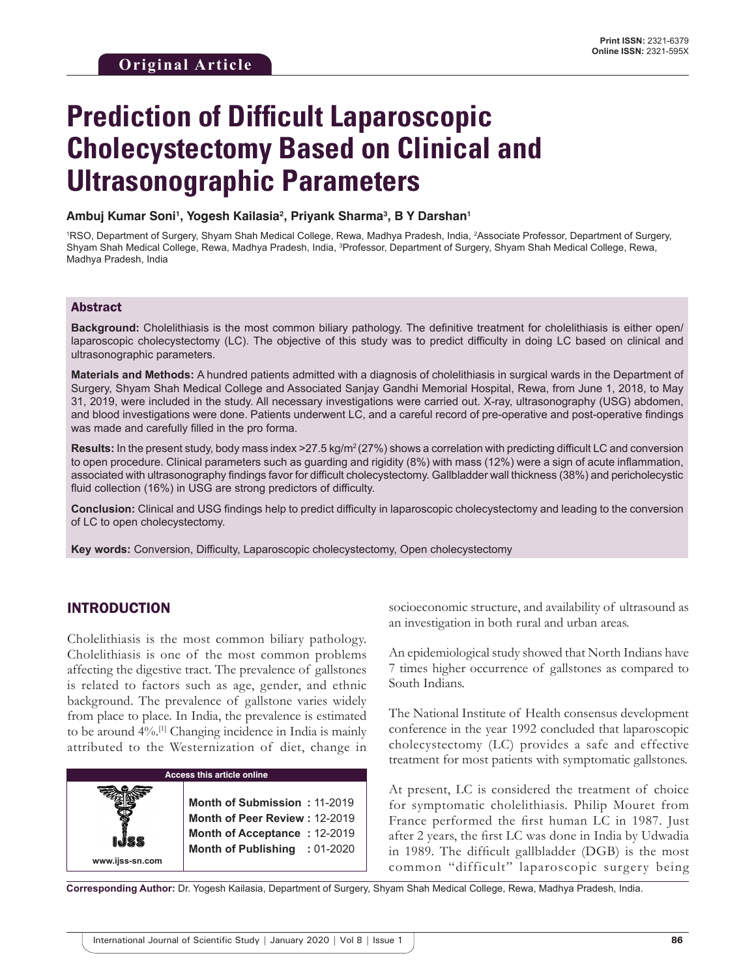# **Prediction of Difficult Laparoscopic Cholecystectomy Based on Clinical and Ultrasonographic Parameters**

**Ambuj Kumar Soni1 , Yogesh Kailasia2 , Priyank Sharma3 , B Y Darshan1**

<sup>1</sup>RSO, Department of Surgery, Shyam Shah Medical College, Rewa, Madhya Pradesh, India, <sup>2</sup>Associate Professor, Department of Surgery, Shyam Shah Medical College, Rewa, Madhya Pradesh, India, <sup>3</sup>Professor, Department of Surgery, Shyam Shah Medical College, Rewa, Madhya Pradesh, India

#### Abstract

**Background:** Cholelithiasis is the most common biliary pathology. The definitive treatment for cholelithiasis is either open/ laparoscopic cholecystectomy (LC). The objective of this study was to predict difficulty in doing LC based on clinical and ultrasonographic parameters.

**Materials and Methods:** A hundred patients admitted with a diagnosis of cholelithiasis in surgical wards in the Department of Surgery, Shyam Shah Medical College and Associated Sanjay Gandhi Memorial Hospital, Rewa, from June 1, 2018, to May 31, 2019, were included in the study. All necessary investigations were carried out. X-ray, ultrasonography (USG) abdomen, and blood investigations were done. Patients underwent LC, and a careful record of pre-operative and post-operative findings was made and carefully filled in the pro forma.

**Results:** In the present study, body mass index >27.5 kg/m<sup>2</sup> (27%) shows a correlation with predicting difficult LC and conversion to open procedure. Clinical parameters such as guarding and rigidity (8%) with mass (12%) were a sign of acute inflammation, associated with ultrasonography findings favor for difficult cholecystectomy. Gallbladder wall thickness (38%) and pericholecystic fluid collection (16%) in USG are strong predictors of difficulty.

**Conclusion:** Clinical and USG findings help to predict difficulty in laparoscopic cholecystectomy and leading to the conversion of LC to open cholecystectomy.

**Key words:** Conversion, Difficulty, Laparoscopic cholecystectomy, Open cholecystectomy

## INTRODUCTION

Cholelithiasis is the most common biliary pathology. Cholelithiasis is one of the most common problems affecting the digestive tract. The prevalence of gallstones is related to factors such as age, gender, and ethnic background. The prevalence of gallstone varies widely from place to place. In India, the prevalence is estimated to be around 4%.[1] Changing incidence in India is mainly attributed to the Westernization of diet, change in

| <b>Access this article online</b> |                                                                                                                                |  |  |
|-----------------------------------|--------------------------------------------------------------------------------------------------------------------------------|--|--|
| www.ijss-sn.com                   | Month of Submission: 11-2019<br>Month of Peer Review: 12-2019<br>Month of Acceptance: 12-2019<br>Month of Publishing : 01-2020 |  |  |

socioeconomic structure, and availability of ultrasound as an investigation in both rural and urban areas.

An epidemiological study showed that North Indians have 7 times higher occurrence of gallstones as compared to South Indians.

The National Institute of Health consensus development conference in the year 1992 concluded that laparoscopic cholecystectomy (LC) provides a safe and effective treatment for most patients with symptomatic gallstones.

At present, LC is considered the treatment of choice for symptomatic cholelithiasis. Philip Mouret from France performed the first human LC in 1987. Just after 2 years, the first LC was done in India by Udwadia in 1989. The difficult gallbladder (DGB) is the most common "difficult" laparoscopic surgery being

**Corresponding Author:** Dr. Yogesh Kailasia, Department of Surgery, Shyam Shah Medical College, Rewa, Madhya Pradesh, India.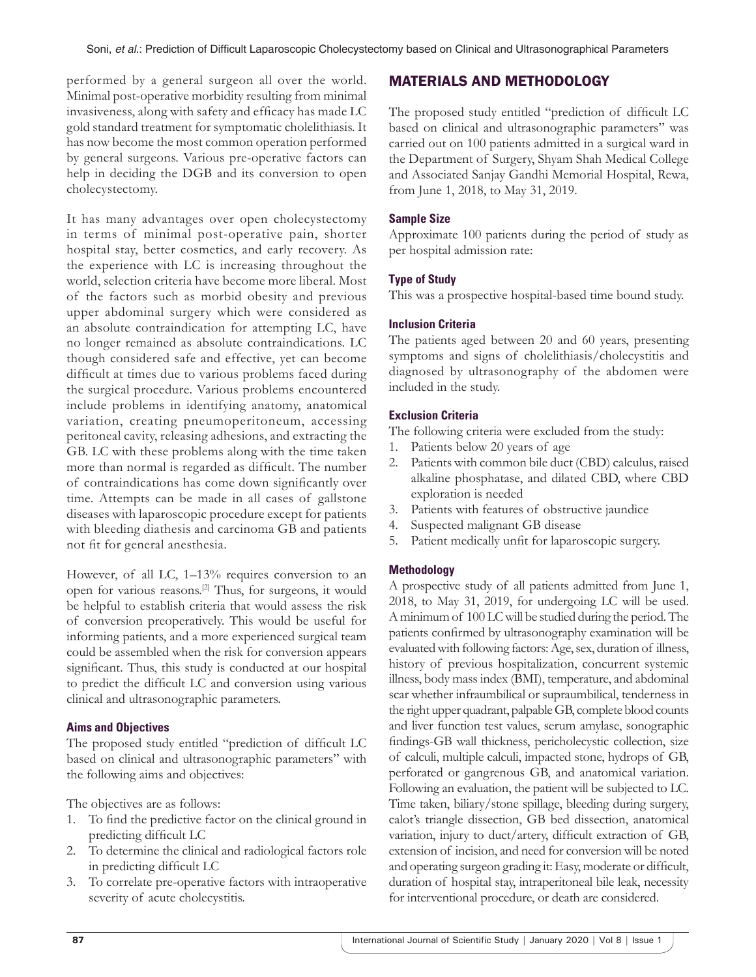performed by a general surgeon all over the world. Minimal post-operative morbidity resulting from minimal invasiveness, along with safety and efficacy has made LC gold standard treatment for symptomatic cholelithiasis. It has now become the most common operation performed by general surgeons. Various pre-operative factors can help in deciding the DGB and its conversion to open cholecystectomy.

It has many advantages over open cholecystectomy in terms of minimal post-operative pain, shorter hospital stay, better cosmetics, and early recovery. As the experience with LC is increasing throughout the world, selection criteria have become more liberal. Most of the factors such as morbid obesity and previous upper abdominal surgery which were considered as an absolute contraindication for attempting LC, have no longer remained as absolute contraindications. LC though considered safe and effective, yet can become difficult at times due to various problems faced during the surgical procedure. Various problems encountered include problems in identifying anatomy, anatomical variation, creating pneumoperitoneum, accessing peritoneal cavity, releasing adhesions, and extracting the GB. LC with these problems along with the time taken more than normal is regarded as difficult. The number of contraindications has come down significantly over time. Attempts can be made in all cases of gallstone diseases with laparoscopic procedure except for patients with bleeding diathesis and carcinoma GB and patients not fit for general anesthesia.

However, of all LC, 1–13% requires conversion to an open for various reasons.[2] Thus, for surgeons, it would be helpful to establish criteria that would assess the risk of conversion preoperatively. This would be useful for informing patients, and a more experienced surgical team could be assembled when the risk for conversion appears significant. Thus, this study is conducted at our hospital to predict the difficult LC and conversion using various clinical and ultrasonographic parameters.

#### **Aims and Objectives**

The proposed study entitled "prediction of difficult LC based on clinical and ultrasonographic parameters" with the following aims and objectives:

The objectives are as follows:

- 1. To find the predictive factor on the clinical ground in predicting difficult LC
- 2. To determine the clinical and radiological factors role in predicting difficult LC
- 3. To correlate pre-operative factors with intraoperative severity of acute cholecystitis.

## MATERIALS AND METHODOLOGY

The proposed study entitled "prediction of difficult LC based on clinical and ultrasonographic parameters" was carried out on 100 patients admitted in a surgical ward in the Department of Surgery, Shyam Shah Medical College and Associated Sanjay Gandhi Memorial Hospital, Rewa, from June 1, 2018, to May 31, 2019.

#### **Sample Size**

Approximate 100 patients during the period of study as per hospital admission rate:

#### **Type of Study**

This was a prospective hospital-based time bound study.

#### **Inclusion Criteria**

The patients aged between 20 and 60 years, presenting symptoms and signs of cholelithiasis/cholecystitis and diagnosed by ultrasonography of the abdomen were included in the study.

#### **Exclusion Criteria**

The following criteria were excluded from the study:

- 1. Patients below 20 years of age
- 2. Patients with common bile duct (CBD) calculus, raised alkaline phosphatase, and dilated CBD, where CBD exploration is needed
- 3. Patients with features of obstructive jaundice
- 4. Suspected malignant GB disease
- 5. Patient medically unfit for laparoscopic surgery.

#### **Methodology**

A prospective study of all patients admitted from June 1, 2018, to May 31, 2019, for undergoing LC will be used. Aminimum of 100 LC will be studied during the period. The patients confirmed by ultrasonography examination will be evaluated with following factors: Age, sex, duration of illness, history of previous hospitalization, concurrent systemic illness, body mass index (BMI), temperature, and abdominal scar whether infraumbilical or supraumbilical, tenderness in the right upper quadrant, palpable GB, complete blood counts and liver function test values, serum amylase, sonographic findings-GB wall thickness, pericholecystic collection, size of calculi, multiple calculi, impacted stone, hydrops of GB, perforated or gangrenous GB, and anatomical variation. Following an evaluation, the patient will be subjected to LC. Time taken, biliary/stone spillage, bleeding during surgery, calot's triangle dissection, GB bed dissection, anatomical variation, injury to duct/artery, difficult extraction of GB, extension of incision, and need for conversion will be noted and operating surgeon grading it: Easy, moderate or difficult, duration of hospital stay, intraperitoneal bile leak, necessity for interventional procedure, or death are considered.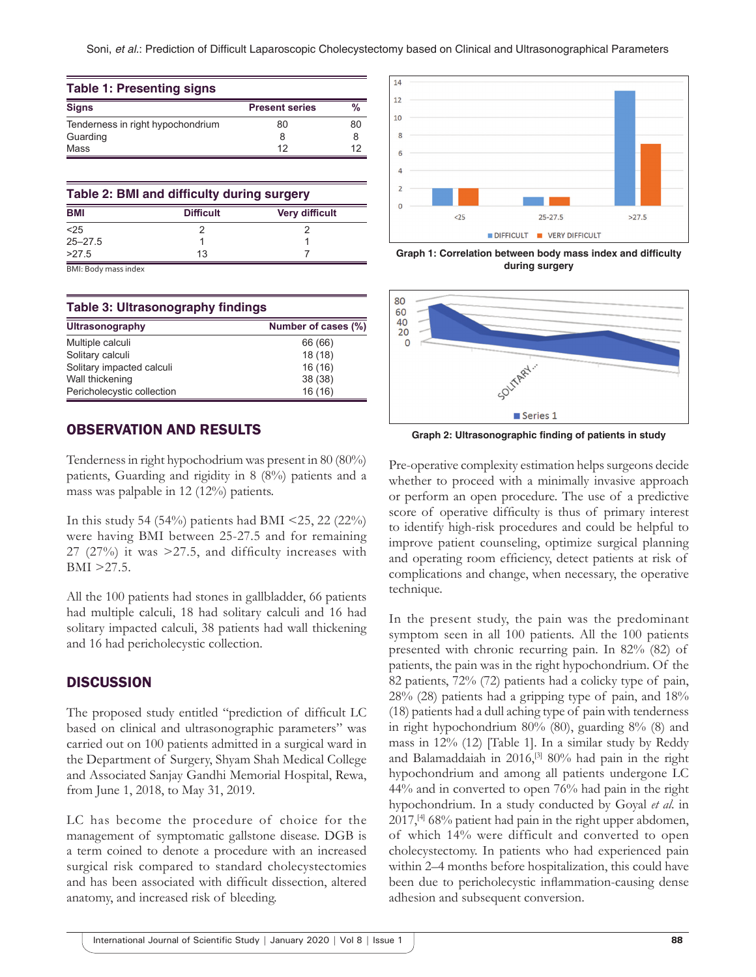| <b>Table 1: Presenting signs</b>  |                       |    |  |  |
|-----------------------------------|-----------------------|----|--|--|
| <b>Signs</b>                      | <b>Present series</b> | %  |  |  |
| Tenderness in right hypochondrium | 80                    | 80 |  |  |
| Guarding                          |                       | 8  |  |  |
| Mass                              | 12                    | 12 |  |  |

| Table 2: BMI and difficulty during surgery |                  |                       |  |  |
|--------------------------------------------|------------------|-----------------------|--|--|
| <b>BMI</b>                                 | <b>Difficult</b> | <b>Very difficult</b> |  |  |
| < 25                                       |                  |                       |  |  |
| $25 - 27.5$                                |                  |                       |  |  |
| >27.5                                      | 13               |                       |  |  |

BMI: Body mass index

#### **Table 3: Ultrasonography findings**

| Ultrasonography            | Number of cases (%) |
|----------------------------|---------------------|
| Multiple calculi           | 66 (66)             |
| Solitary calculi           | 18(18)              |
| Solitary impacted calculi  | 16(16)              |
| Wall thickening            | 38 (38)             |
| Pericholecystic collection | 16(16)              |

## OBSERVATION AND RESULTS

Tenderness in right hypochodrium was present in 80 (80%) patients, Guarding and rigidity in 8 (8%) patients and a mass was palpable in 12 (12%) patients.

In this study 54 (54%) patients had BMI <25, 22 (22%) were having BMI between 25-27.5 and for remaining 27 (27%) it was >27.5, and difficulty increases with BMI >27.5.

All the 100 patients had stones in gallbladder, 66 patients had multiple calculi, 18 had solitary calculi and 16 had solitary impacted calculi, 38 patients had wall thickening and 16 had pericholecystic collection.

#### **DISCUSSION**

The proposed study entitled "prediction of difficult LC based on clinical and ultrasonographic parameters" was carried out on 100 patients admitted in a surgical ward in the Department of Surgery, Shyam Shah Medical College and Associated Sanjay Gandhi Memorial Hospital, Rewa, from June 1, 2018, to May 31, 2019.

LC has become the procedure of choice for the management of symptomatic gallstone disease. DGB is a term coined to denote a procedure with an increased surgical risk compared to standard cholecystectomies and has been associated with difficult dissection, altered anatomy, and increased risk of bleeding.



**Graph 1: Correlation between body mass index and difficulty during surgery**



**Graph 2: Ultrasonographic finding of patients in study**

Pre-operative complexity estimation helps surgeons decide whether to proceed with a minimally invasive approach or perform an open procedure. The use of a predictive score of operative difficulty is thus of primary interest to identify high-risk procedures and could be helpful to improve patient counseling, optimize surgical planning and operating room efficiency, detect patients at risk of complications and change, when necessary, the operative technique.

In the present study, the pain was the predominant symptom seen in all 100 patients. All the 100 patients presented with chronic recurring pain. In 82% (82) of patients, the pain was in the right hypochondrium. Of the 82 patients, 72% (72) patients had a colicky type of pain, 28% (28) patients had a gripping type of pain, and 18% (18) patients had a dull aching type of pain with tenderness in right hypochondrium 80% (80), guarding 8% (8) and mass in 12% (12) [Table 1]. In a similar study by Reddy and Balamaddaiah in 2016,[3] 80% had pain in the right hypochondrium and among all patients undergone LC 44% and in converted to open 76% had pain in the right hypochondrium. In a study conducted by Goyal *et al*. in 2017,[4] 68% patient had pain in the right upper abdomen, of which 14% were difficult and converted to open cholecystectomy. In patients who had experienced pain within 2–4 months before hospitalization, this could have been due to pericholecystic inflammation-causing dense adhesion and subsequent conversion.